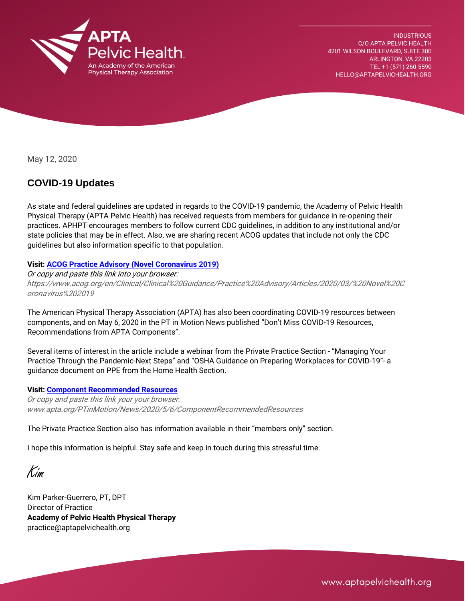

**INDUSTRIOUS** C/O APTA PELVIC HEALTH 4201 WILSON BOULEVARD, SUITE 300 ARLINGTON, VA 22203 TEL +1 (571) 260-5590 HELLO@APTAPELVICHEALTH.ORG

May 12, 2020

## **COVID-19 Updates**

As state and federal guidelines are updated in regards to the COVID-19 pandemic, the Academy of Pelvic Health Physical Therapy (APTA Pelvic Health) has received requests from members for guidance in re-opening their practices. APHPT encourages members to follow current CDC guidelines, in addition to any institutional and/or state policies that may be in effect. Also, we are sharing recent ACOG updates that include not only the CDC guidelines but also information specific to that population.

## **Visit[: ACOG Practice Advisory \(Novel Coronavirus 2019\)](https://aptapelvichealth.org/2020/05/12/acog-practice-advisory/)**

Or copy and paste this link into your browser:

https://www.acog.org/en/Clinical/Clinical%20Guidance/Practice%20Advisory/Articles/2020/03/%20Novel%20C oronavirus%202019

The American Physical Therapy Association (APTA) has also been coordinating COVID-19 resources between components, and on May 6, 2020 in the PT in Motion News published "Don't Miss COVID-19 Resources, Recommendations from APTA Components".

Several items of interest in the article include a webinar from the Private Practice Section - "Managing Your Practice Through the Pandemic-Next Steps" and "OSHA Guidance on Preparing Workplaces for COVID-19"- a guidance document on PPE from the Home Health Section.

## **Visit[: Component Recommended Resources](http://www.apta.org/PTinMotion/News/2020/5/6/ComponentRecommendedResources)**

Or copy and paste this link your your browser: www.apta.org/PTinMotion/News/2020/5/6/ComponentRecommendedResources

The Private Practice Section also has information available in their "members only" section.

I hope this information is helpful. Stay safe and keep in touch during this stressful time.

Kim

Kim Parker-Guerrero, PT, DPT Director of Practice **Academy of Pelvic Health Physical Therapy**  practice@aptapelvichealth.org

www.aptapelvichealth.org